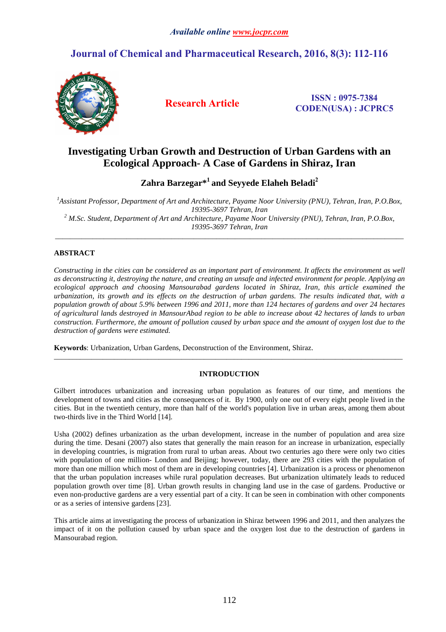# **Journal of Chemical and Pharmaceutical Research, 2016, 8(3): 112-116**



**Research Article ISSN : 0975-<sup>7384</sup> CODEN(USA) : JCPRC5**

# **Investigating Urban Growth and Destruction of Urban Gardens with an Ecological Approach- A Case of Gardens in Shiraz, Iran**

**Zahra Barzegar\*<sup>1</sup>and Seyyede Elaheh Beladi<sup>2</sup>**

*<sup>1</sup>Assistant Professor, Department of Art and Architecture, Payame Noor University (PNU), Tehran, Iran, P.O.Box, 19395-3697 Tehran, Iran 2 M.Sc. Student, Department of Art and Architecture, Payame Noor University (PNU), Tehran, Iran, P.O.Box, 19395-3697 Tehran, Iran* 

\_\_\_\_\_\_\_\_\_\_\_\_\_\_\_\_\_\_\_\_\_\_\_\_\_\_\_\_\_\_\_\_\_\_\_\_\_\_\_\_\_\_\_\_\_\_\_\_\_\_\_\_\_\_\_\_\_\_\_\_\_\_\_\_\_\_\_\_\_\_\_\_\_\_\_\_\_\_\_\_\_\_\_\_\_\_\_\_\_\_\_\_\_

# **ABSTRACT**

*Constructing in the cities can be considered as an important part of environment. It affects the environment as well as deconstructing it, destroying the nature, and creating an unsafe and infected environment for people. Applying an ecological approach and choosing Mansourabad gardens located in Shiraz, Iran, this article examined the urbanization, its growth and its effects on the destruction of urban gardens. The results indicated that, with a population growth of about 5.9% between 1996 and 2011, more than 124 hectares of gardens and over 24 hectares of agricultural lands destroyed in MansourAbad region to be able to increase about 42 hectares of lands to urban construction. Furthermore, the amount of pollution caused by urban space and the amount of oxygen lost due to the destruction of gardens were estimated.* 

**Keywords**: Urbanization, Urban Gardens, Deconstruction of the Environment, Shiraz.

# **INTRODUCTION**

\_\_\_\_\_\_\_\_\_\_\_\_\_\_\_\_\_\_\_\_\_\_\_\_\_\_\_\_\_\_\_\_\_\_\_\_\_\_\_\_\_\_\_\_\_\_\_\_\_\_\_\_\_\_\_\_\_\_\_\_\_\_\_\_\_\_\_\_\_\_\_\_\_\_\_\_\_\_\_\_\_\_\_\_\_\_\_\_\_\_\_\_\_

Gilbert introduces urbanization and increasing urban population as features of our time, and mentions the development of towns and cities as the consequences of it. By 1900, only one out of every eight people lived in the cities. But in the twentieth century, more than half of the world's population live in urban areas, among them about two-thirds live in the Third World [14].

Usha (2002) defines urbanization as the urban development, increase in the number of population and area size during the time. Desani (2007) also states that generally the main reason for an increase in urbanization, especially in developing countries, is migration from rural to urban areas. About two centuries ago there were only two cities with population of one million- London and Beijing; however, today, there are 293 cities with the population of more than one million which most of them are in developing countries [4]. Urbanization is a process or phenomenon that the urban population increases while rural population decreases. But urbanization ultimately leads to reduced population growth over time [8]. Urban growth results in changing land use in the case of gardens. Productive or even non-productive gardens are a very essential part of a city. It can be seen in combination with other components or as a series of intensive gardens [23].

This article aims at investigating the process of urbanization in Shiraz between 1996 and 2011, and then analyzes the impact of it on the pollution caused by urban space and the oxygen lost due to the destruction of gardens in Mansourabad region.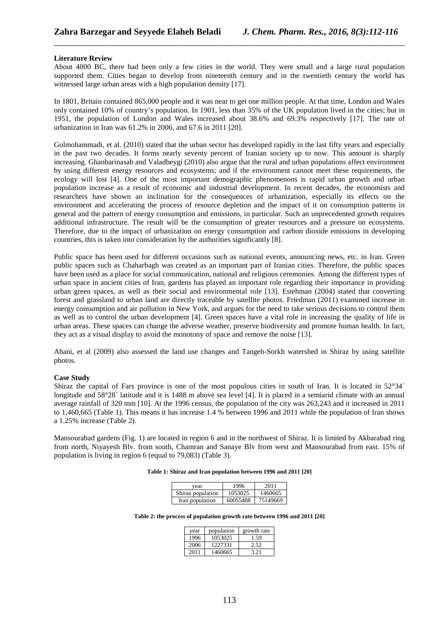## **Literature Review**

About 4000 BC, there had been only a few cities in the world. They were small and a large rural population supported them. Cities began to develop from nineteenth century and in the twentieth century the world has witnessed large urban areas with a high population density [17].

\_\_\_\_\_\_\_\_\_\_\_\_\_\_\_\_\_\_\_\_\_\_\_\_\_\_\_\_\_\_\_\_\_\_\_\_\_\_\_\_\_\_\_\_\_\_\_\_\_\_\_\_\_\_\_\_\_\_\_\_\_\_\_\_\_\_\_\_\_\_\_\_\_\_\_\_\_\_

In 1801, Britain contained 865,000 people and it was near to get one million people. At that time, London and Wales only contained 10% of country's population. In 1901, less than 35% of the UK population lived in the cities; but in 1951, the population of London and Wales increased about 38.6% and 69.3% respectively [17]. The rate of urbanization in Iran was 61.2% in 2006, and 67.6 in 2011 [20].

Golmohammadi, et al. (2010) stated that the urban sector has developed rapidly in the last fifty years and especially in the past two decades. It forms nearly seventy percent of Iranian society up to now. This amount is sharply increasing. Ghanbarinasab and Valadbeygi (2010) also argue that the rural and urban populations affect environment by using different energy resources and ecosystems; and if the environment cannot meet these requirements, the ecology will lost [4]. One of the most important demographic phenomenons is rapid urban growth and urban population increase as a result of economic and industrial development. In recent decades, the economists and researchers have shown an inclination for the consequences of urbanization, especially its effects on the environment and accelerating the process of resource depletion and the impact of it on consumption patterns in general and the pattern of energy consumption and emissions, in particular. Such an unprecedented growth requires additional infrastructure. The result will be the consumption of greater resources and a pressure on ecosystems. Therefore, due to the impact of urbanization on energy consumption and carbon dioxide emissions in developing countries, this is taken into consideration by the authorities significantly [8].

Public space has been used for different occasions such as national events, announcing news, etc. in Iran. Green public spaces such as Chaharbagh was created as an important part of Iranian cities. Therefore, the public spaces have been used as a place for social communication, national and religious ceremonies. Among the different types of urban space in ancient cities of Iran, gardens has played an important role regarding their importance in providing urban green spaces, as well as their social and environmental role [13]. Estehman (2004) stated that converting forest and grassland to urban land are directly traceable by satellite photos. Friedman (2011) examined increase in energy consumption and air pollution in New York, and argues for the need to take serious decisions to control them as well as to control the urban development [4]. Green spaces have a vital role in increasing the quality of life in urban areas. These spaces can change the adverse weather, preserve biodiversity and promote human health. In fact, they act as a visual display to avoid the monotony of space and remove the noise [13].

Ahani, et al (2009) also assessed the land use changes and Tangeh-Sorkh watershed in Shiraz by using satellite photos.

## **Case Study**

Shiraz the capital of Fars province is one of the most populous cities in south of Iran. It is located in  $52^{\circ}34'$ longitude and 58°28′ latitude and it is 1488 m above sea level [4]. It is placed in a semiarid climate with an annual average rainfall of 320 mm [10]. At the 1996 census, the population of the city was 263,243 and it increased in 2011 to 1,460,665 (Table 1). This means it has increase 1.4 % between 1996 and 2011 while the population of Iran shows a 1.25% increase (Table 2).

Mansourabad gardens (Fig. 1) are located in region 6 and in the northwest of Shiraz. It is limited by Akbarabad ring from north, Niyayesh Blv. from south, Chamran and Sanaye Blv from west and Mansourabad from east. 15% of population is living in region 6 (equal to 79,083) (Table 3).

#### **Table 1: Shiraz and Iran population between 1996 and 2011 [20]**

| vear              | 1996     | 2011     |
|-------------------|----------|----------|
| Shiraz population | 1053025  | 1460665  |
| Iran population   | 60055488 | 75149669 |

**Table 2: the process of population growth rate between 1996 and 2011 [20]** 

| vear | population | growth rate |
|------|------------|-------------|
| 1996 | 1053025    | 1.59        |
| 2006 | 1227331    | 2.52        |
| 2011 | 1460665    | 3.21        |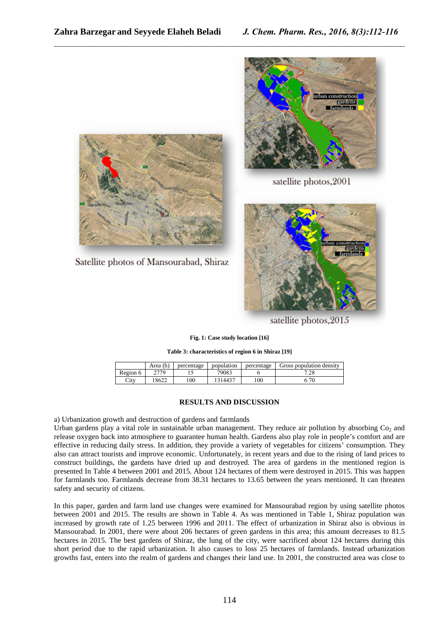

satellite photos, 2001



satellite photos, 2015

## **Fig. 1: Case study location [16]**

\_\_\_\_\_\_\_\_\_\_\_\_\_\_\_\_\_\_\_\_\_\_\_\_\_\_\_\_\_\_\_\_\_\_\_\_\_\_\_\_\_\_\_\_\_\_\_\_\_\_\_\_\_\_\_\_\_\_\_\_\_\_\_\_\_\_\_\_\_\_\_\_\_\_\_\_\_\_

**Table 3: characteristics of region 6 in Shiraz [19]**

|          | Area (h) | percentage | population | percentage | Gross population density |
|----------|----------|------------|------------|------------|--------------------------|
| Region 6 | 2770     |            | 79083      |            | 790<br>.∠c               |
| City     | 8622     | 100        | 1314437    | 100        | 7C<br>0.70               |

# **RESULTS AND DISCUSSION**

a) Urbanization growth and destruction of gardens and farmlands

Satellite photos of Mansourabad, Shiraz

Urban gardens play a vital role in sustainable urban management. They reduce air pollution by absorbing  $Co<sub>2</sub>$  and release oxygen back into atmosphere to guarantee human health. Gardens also play role in people's comfort and are effective in reducing daily stress. In addition, they provide a variety of vegetables for citizens' consumption. They also can attract tourists and improve economic. Unfortunately, in recent years and due to the rising of land prices to construct buildings, the gardens have dried up and destroyed. The area of gardens in the mentioned region is presented In Table 4 between 2001 and 2015. About 124 hectares of them were destroyed in 2015. This was happen for farmlands too. Farmlands decrease from 38.31 hectares to 13.65 between the years mentioned. It can threaten safety and security of citizens.

In this paper, garden and farm land use changes were examined for Mansourabad region by using satellite photos between 2001 and 2015. The results are shown in Table 4. As was mentioned in Table 1, Shiraz population was increased by growth rate of 1.25 between 1996 and 2011. The effect of urbanization in Shiraz also is obvious in Mansourabad. In 2001, there were about 206 hectares of green gardens in this area; this amount decreases to 81.5 hectares in 2015. The best gardens of Shiraz, the lung of the city, were sacrificed about 124 hectares during this short period due to the rapid urbanization. It also causes to loss 25 hectares of farmlands. Instead urbanization growths fast, enters into the realm of gardens and changes their land use. In 2001, the constructed area was close to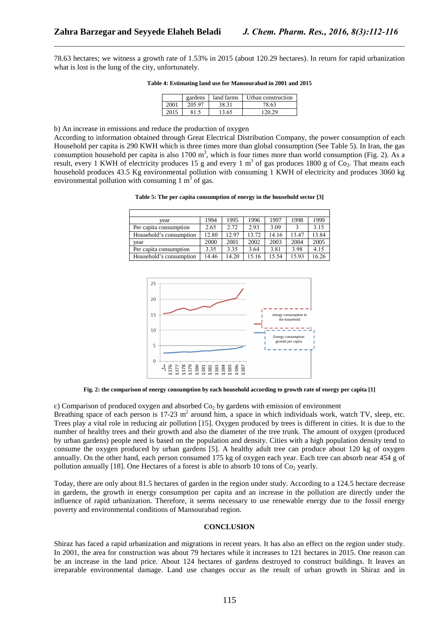78.63 hectares; we witness a growth rate of 1.53% in 2015 (about 120.29 hectares). In return for rapid urbanization what is lost is the lung of the city, unfortunately.

\_\_\_\_\_\_\_\_\_\_\_\_\_\_\_\_\_\_\_\_\_\_\_\_\_\_\_\_\_\_\_\_\_\_\_\_\_\_\_\_\_\_\_\_\_\_\_\_\_\_\_\_\_\_\_\_\_\_\_\_\_\_\_\_\_\_\_\_\_\_\_\_\_\_\_\_\_\_

**Table 4: Estimating land use for Mansourabad in 2001 and 2015** 

|      | gardens | land farms | Urban construction |
|------|---------|------------|--------------------|
| 2001 | 205.97  | 38.31      | 78.63              |
| 2015 | 815     | 13.65      | 120.29             |

b) An increase in emissions and reduce the production of oxygen

According to information obtained through Great Electrical Distribution Company, the power consumption of each Household per capita is 290 KWH which is three times more than global consumption (See Table 5). In Iran, the gas consumption household per capita is also 1700 m<sup>3</sup>, which is four times more than world consumption (Fig. 2). As a result, every 1 KWH of electricity produces 15 g and every 1  $m<sup>3</sup>$  of gas produces 1800 g of Co<sub>2</sub>. That means each household produces 43.5 Kg environmental pollution with consuming 1 KWH of electricity and produces 3060 kg environmental pollution with consuming  $1 \text{ m}^3$  of gas.

| vear                    | 1994  | 1995  | 1996  | 1997  | 1998  | 1999  |
|-------------------------|-------|-------|-------|-------|-------|-------|
| Per capita consumption  | 2.65  | 2.72  | 2.93  | 3.09  |       | 3.15  |
| Household's consumption | 12.80 | 12.97 | 13.72 | 14.16 | 13.47 | 13.84 |
| vear                    | 2000  | 2001  | 2002  | 2003  | 2004  | 2005  |
| Per capita consumption  | 3.35  | 3.35  | 3.64  | 3.81  | 3.98  | 4.15  |
| Household's consumption | 14.46 | 14.20 | 15.16 | 15.54 | 15.93 | 16.26 |



**Fig. 2: the comparison of energy consumption by each household according to growth rate of energy per capita [1]** 

c) Comparison of produced oxygen and absorbed  $Co<sub>2</sub>$  by gardens with emission of environment

Breathing space of each person is  $17-23$  m<sup>2</sup> around him, a space in which individuals work, watch TV, sleep, etc. Trees play a vital role in reducing air pollution [15]. Oxygen produced by trees is different in cities. It is due to the number of healthy trees and their growth and also the diameter of the tree trunk. The amount of oxygen (produced by urban gardens) people need is based on the population and density. Cities with a high population density tend to consume the oxygen produced by urban gardens [5]. A healthy adult tree can produce about 120 kg of oxygen annually. On the other hand, each person consumed 175 kg of oxygen each year. Each tree can absorb near 454 g of pollution annually [18]. One Hectares of a forest is able to absorb 10 tons of  $Co<sub>2</sub>$  yearly.

Today, there are only about 81.5 hectares of garden in the region under study. According to a 124.5 hectare decrease in gardens, the growth in energy consumption per capita and an increase in the pollution are directly under the influence of rapid urbanization. Therefore, it seems necessary to use renewable energy due to the fossil energy poverty and environmental conditions of Mansourabad region.

#### **CONCLUSION**

Shiraz has faced a rapid urbanization and migrations in recent years. It has also an effect on the region under study. In 2001, the area for construction was about 79 hectares while it increases to 121 hectares in 2015. One reason can be an increase in the land price. About 124 hectares of gardens destroyed to construct buildings. It leaves an irreparable environmental damage. Land use changes occur as the result of urban growth in Shiraz and in